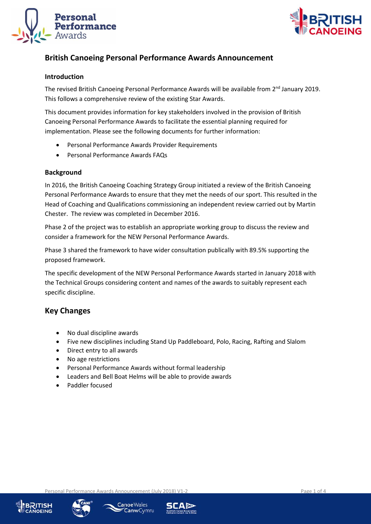



# **British Canoeing Personal Performance Awards Announcement**

#### **Introduction**

The revised British Canoeing Personal Performance Awards will be available from 2<sup>nd</sup> January 2019. This follows a comprehensive review of the existing Star Awards.

This document provides information for key stakeholders involved in the provision of British Canoeing Personal Performance Awards to facilitate the essential planning required for implementation. Please see the following documents for further information:

- Personal Performance Awards Provider Requirements
- Personal Performance Awards FAQs

#### **Background**

In 2016, the British Canoeing Coaching Strategy Group initiated a review of the British Canoeing Personal Performance Awards to ensure that they met the needs of our sport. This resulted in the Head of Coaching and Qualifications commissioning an independent review carried out by Martin Chester. The review was completed in December 2016.

Phase 2 of the project was to establish an appropriate working group to discuss the review and consider a framework for the NEW Personal Performance Awards.

Phase 3 shared the framework to have wider consultation publically with 89.5% supporting the proposed framework.

The specific development of the NEW Personal Performance Awards started in January 2018 with the Technical Groups considering content and names of the awards to suitably represent each specific discipline.

### **Key Changes**

- No dual discipline awards
- Five new disciplines including Stand Up Paddleboard, Polo, Racing, Rafting and Slalom
- Direct entry to all awards
- No age restrictions
- Personal Performance Awards without formal leadership
- Leaders and Bell Boat Helms will be able to provide awards
- Paddler focused





Canoe Wales CanwCymru

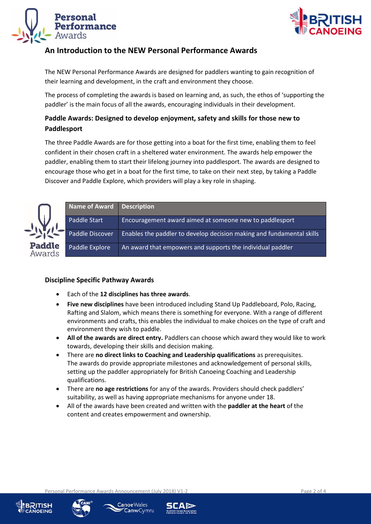



# **An Introduction to the NEW Personal Performance Awards**

The NEW Personal Performance Awards are designed for paddlers wanting to gain recognition of their learning and development, in the craft and environment they choose.

The process of completing the awards is based on learning and, as such, the ethos of 'supporting the paddler' is the main focus of all the awards, encouraging individuals in their development.

# **Paddle Awards: Designed to develop enjoyment, safety and skills for those new to Paddlesport**

The three Paddle Awards are for those getting into a boat for the first time, enabling them to feel confident in their chosen craft in a sheltered water environment. The awards help empower the paddler, enabling them to start their lifelong journey into paddlesport. The awards are designed to encourage those who get in a boat for the first time, to take on their next step, by taking a Paddle Discover and Paddle Explore, which providers will play a key role in shaping.



|          | Name of Award   Description |                                                                       |
|----------|-----------------------------|-----------------------------------------------------------------------|
|          | Paddle Start                | Encouragement award aimed at someone new to paddlesport               |
|          | Paddle Discover             | Enables the paddler to develop decision making and fundamental skills |
| le<br>ls | Paddle Explore              | An award that empowers and supports the individual paddler            |

### **Discipline Specific Pathway Awards**

- Each of the **12 disciplines has three awards**.
- **Five new disciplines** have been introduced including Stand Up Paddleboard, Polo, Racing, Rafting and Slalom, which means there is something for everyone. With a range of different environments and crafts, this enables the individual to make choices on the type of craft and environment they wish to paddle.
- **All of the awards are direct entry.** Paddlers can choose which award they would like to work towards, developing their skills and decision making.
- There are **no direct links to Coaching and Leadership qualifications** as prerequisites. The awards do provide appropriate milestones and acknowledgement of personal skills, setting up the paddler appropriately for British Canoeing Coaching and Leadership qualifications.
- There are **no age restrictions** for any of the awards. Providers should check paddlers' suitability, as well as having appropriate mechanisms for anyone under 18.
- All of the awards have been created and written with the **paddler at the heart** of the content and creates empowerment and ownership.



Personal Performance Awards Announcement (July 2018) V1-2 Page 2 of 4

Canoe Wales **CanwCymru** 

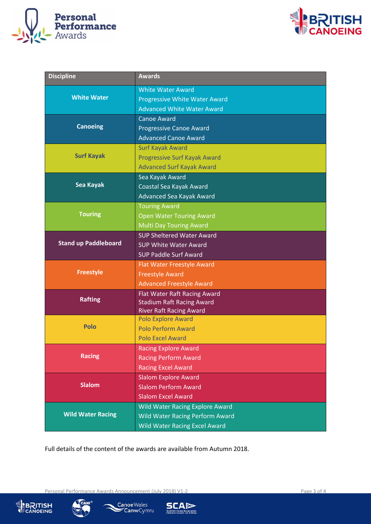



| <b>Discipline</b>           | <b>Awards</b>                                                      |
|-----------------------------|--------------------------------------------------------------------|
|                             | <b>White Water Award</b>                                           |
| <b>White Water</b>          | <b>Progressive White Water Award</b>                               |
|                             | <b>Advanced White Water Award</b>                                  |
|                             | <b>Canoe Award</b>                                                 |
| <b>Canoeing</b>             | <b>Progressive Canoe Award</b>                                     |
|                             | <b>Advanced Canoe Award</b>                                        |
|                             | <b>Surf Kayak Award</b>                                            |
| <b>Surf Kayak</b>           | <b>Progressive Surf Kayak Award</b>                                |
|                             | <b>Advanced Surf Kayak Award</b>                                   |
| Sea Kayak                   | Sea Kayak Award                                                    |
|                             | Coastal Sea Kayak Award                                            |
|                             | Advanced Sea Kayak Award                                           |
| <b>Touring</b>              | <b>Touring Award</b>                                               |
|                             | <b>Open Water Touring Award</b>                                    |
|                             | <b>Multi Day Touring Award</b><br><b>SUP Sheltered Water Award</b> |
| <b>Stand up Paddleboard</b> | <b>SUP White Water Award</b>                                       |
|                             | <b>SUP Paddle Surf Award</b>                                       |
|                             | Flat Water Freestyle Award                                         |
| <b>Freestyle</b>            | <b>Freestyle Award</b>                                             |
|                             | <b>Advanced Freestyle Award</b>                                    |
|                             | Flat Water Raft Racing Award                                       |
| <b>Rafting</b>              | <b>Stadium Raft Racing Award</b>                                   |
|                             | <b>River Raft Racing Award</b>                                     |
|                             | <b>Polo Explore Award</b>                                          |
| <b>Polo</b>                 | <b>Polo Perform Award</b>                                          |
|                             | <b>Polo Excel Award</b>                                            |
|                             | <b>Racing Explore Award</b>                                        |
| <b>Racing</b>               | <b>Racing Perform Award</b>                                        |
|                             | <b>Racing Excel Award</b>                                          |
| <b>Slalom</b>               | <b>Slalom Explore Award</b>                                        |
|                             | <b>Slalom Perform Award</b>                                        |
|                             | <b>Slalom Excel Award</b>                                          |
| <b>Wild Water Racing</b>    | Wild Water Racing Explore Award                                    |
|                             | <b>Wild Water Racing Perform Award</b>                             |
|                             | <b>Wild Water Racing Excel Award</b>                               |

Full details of the content of the awards are available from Autumn 2018.